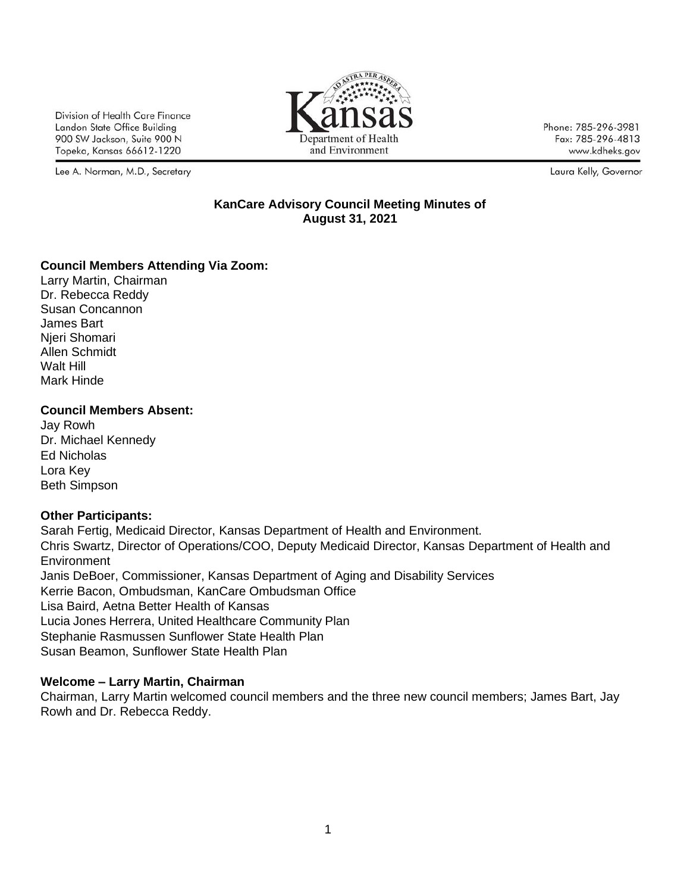Division of Health Care Finance Landon State Office Building 900 SW Jackson, Suite 900 N Topeka, Kansas 66612-1220

Lee A. Norman, M.D., Secretary



Phone: 785-296-3981 Fax: 785-296-4813 www.kdheks.gov

Laura Kelly, Governor

#### **KanCare Advisory Council Meeting Minutes of August 31, 2021**

### **Council Members Attending Via Zoom:**

Larry Martin, Chairman Dr. Rebecca Reddy Susan Concannon James Bart Njeri Shomari Allen Schmidt Walt Hill Mark Hinde

## **Council Members Absent:**

Jay Rowh Dr. Michael Kennedy Ed Nicholas Lora Key Beth Simpson

## **Other Participants:**

Sarah Fertig, Medicaid Director, Kansas Department of Health and Environment. Chris Swartz, Director of Operations/COO, Deputy Medicaid Director, Kansas Department of Health and **Environment** Janis DeBoer, Commissioner, Kansas Department of Aging and Disability Services Kerrie Bacon, Ombudsman, KanCare Ombudsman Office Lisa Baird, Aetna Better Health of Kansas Lucia Jones Herrera, United Healthcare Community Plan Stephanie Rasmussen Sunflower State Health Plan Susan Beamon, Sunflower State Health Plan

## **Welcome – Larry Martin, Chairman**

Chairman, Larry Martin welcomed council members and the three new council members; James Bart, Jay Rowh and Dr. Rebecca Reddy.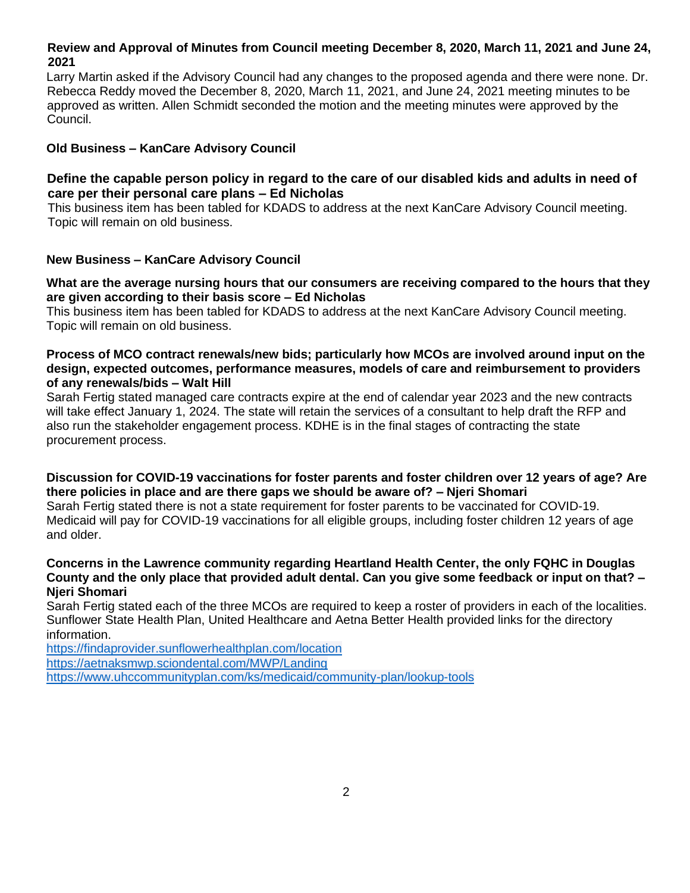## **Review and Approval of Minutes from Council meeting December 8, 2020, March 11, 2021 and June 24, 2021**

Larry Martin asked if the Advisory Council had any changes to the proposed agenda and there were none. Dr. Rebecca Reddy moved the December 8, 2020, March 11, 2021, and June 24, 2021 meeting minutes to be approved as written. Allen Schmidt seconded the motion and the meeting minutes were approved by the Council.

## **Old Business – KanCare Advisory Council**

## **Define the capable person policy in regard to the care of our disabled kids and adults in need of care per their personal care plans – Ed Nicholas**

This business item has been tabled for KDADS to address at the next KanCare Advisory Council meeting. Topic will remain on old business.

### **New Business – KanCare Advisory Council**

### **What are the average nursing hours that our consumers are receiving compared to the hours that they are given according to their basis score – Ed Nicholas**

This business item has been tabled for KDADS to address at the next KanCare Advisory Council meeting. Topic will remain on old business.

#### **Process of MCO contract renewals/new bids; particularly how MCOs are involved around input on the design, expected outcomes, performance measures, models of care and reimbursement to providers of any renewals/bids – Walt Hill**

Sarah Fertig stated managed care contracts expire at the end of calendar year 2023 and the new contracts will take effect January 1, 2024. The state will retain the services of a consultant to help draft the RFP and also run the stakeholder engagement process. KDHE is in the final stages of contracting the state procurement process.

### **Discussion for COVID-19 vaccinations for foster parents and foster children over 12 years of age? Are there policies in place and are there gaps we should be aware of? – Njeri Shomari**

Sarah Fertig stated there is not a state requirement for foster parents to be vaccinated for COVID-19. Medicaid will pay for COVID-19 vaccinations for all eligible groups, including foster children 12 years of age and older.

#### **Concerns in the Lawrence community regarding Heartland Health Center, the only FQHC in Douglas County and the only place that provided adult dental. Can you give some feedback or input on that? – Njeri Shomari**

Sarah Fertig stated each of the three MCOs are required to keep a roster of providers in each of the localities. Sunflower State Health Plan, United Healthcare and Aetna Better Health provided links for the directory information.

<https://findaprovider.sunflowerhealthplan.com/location> <https://aetnaksmwp.sciondental.com/MWP/Landing> <https://www.uhccommunityplan.com/ks/medicaid/community-plan/lookup-tools>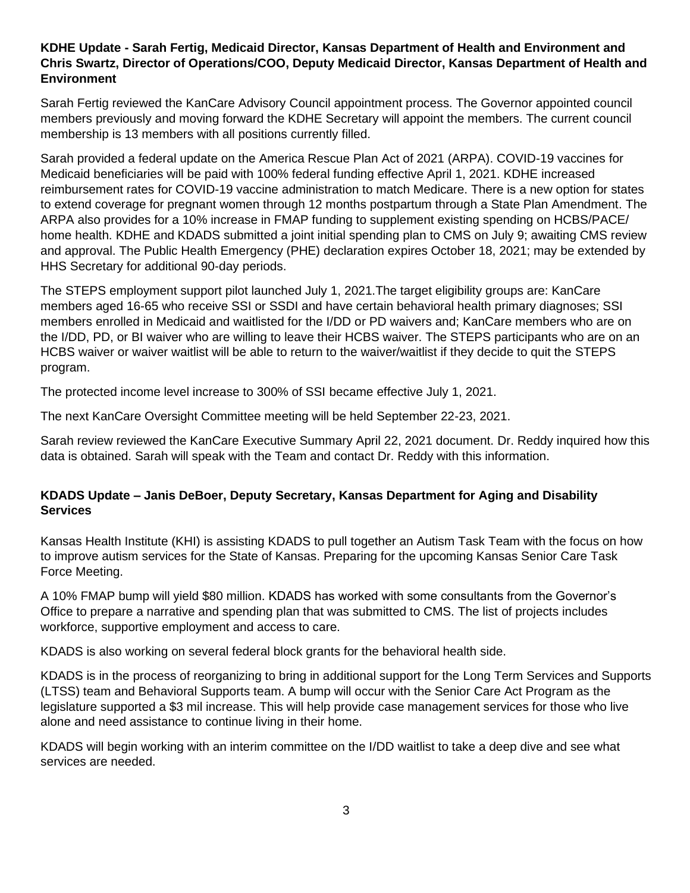## **KDHE Update - Sarah Fertig, Medicaid Director, Kansas Department of Health and Environment and Chris Swartz, Director of Operations/COO, Deputy Medicaid Director, Kansas Department of Health and Environment**

Sarah Fertig reviewed the KanCare Advisory Council appointment process. The Governor appointed council members previously and moving forward the KDHE Secretary will appoint the members. The current council membership is 13 members with all positions currently filled.

Sarah provided a federal update on the America Rescue Plan Act of 2021 (ARPA). COVID-19 vaccines for Medicaid beneficiaries will be paid with 100% federal funding effective April 1, 2021. KDHE increased reimbursement rates for COVID-19 vaccine administration to match Medicare. There is a new option for states to extend coverage for pregnant women through 12 months postpartum through a State Plan Amendment. The ARPA also provides for a 10% increase in FMAP funding to supplement existing spending on HCBS/PACE/ home health. KDHE and KDADS submitted a joint initial spending plan to CMS on July 9; awaiting CMS review and approval. The Public Health Emergency (PHE) declaration expires October 18, 2021; may be extended by HHS Secretary for additional 90-day periods.

The STEPS employment support pilot launched July 1, 2021.The target eligibility groups are: KanCare members aged 16-65 who receive SSI or SSDI and have certain behavioral health primary diagnoses; SSI members enrolled in Medicaid and waitlisted for the I/DD or PD waivers and; KanCare members who are on the I/DD, PD, or BI waiver who are willing to leave their HCBS waiver. The STEPS participants who are on an HCBS waiver or waiver waitlist will be able to return to the waiver/waitlist if they decide to quit the STEPS program.

The protected income level increase to 300% of SSI became effective July 1, 2021.

The next KanCare Oversight Committee meeting will be held September 22-23, 2021.

Sarah review reviewed the KanCare Executive Summary April 22, 2021 document. Dr. Reddy inquired how this data is obtained. Sarah will speak with the Team and contact Dr. Reddy with this information.

# **KDADS Update – Janis DeBoer, Deputy Secretary, Kansas Department for Aging and Disability Services**

Kansas Health Institute (KHI) is assisting KDADS to pull together an Autism Task Team with the focus on how to improve autism services for the State of Kansas. Preparing for the upcoming Kansas Senior Care Task Force Meeting.

A 10% FMAP bump will yield \$80 million. KDADS has worked with some consultants from the Governor's Office to prepare a narrative and spending plan that was submitted to CMS. The list of projects includes workforce, supportive employment and access to care.

KDADS is also working on several federal block grants for the behavioral health side.

KDADS is in the process of reorganizing to bring in additional support for the Long Term Services and Supports (LTSS) team and Behavioral Supports team. A bump will occur with the Senior Care Act Program as the legislature supported a \$3 mil increase. This will help provide case management services for those who live alone and need assistance to continue living in their home.

KDADS will begin working with an interim committee on the I/DD waitlist to take a deep dive and see what services are needed.